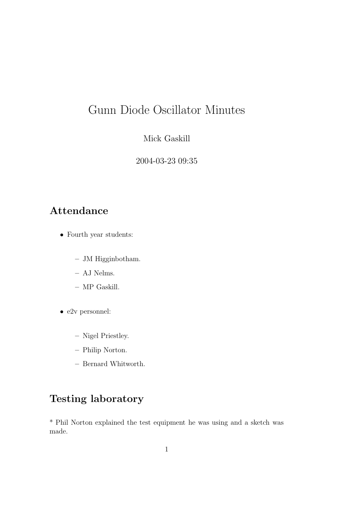# Gunn Diode Oscillator Minutes

#### Mick Gaskill

2004-03-23 09:35

#### Attendance

- Fourth year students:
	- JM Higginbotham.
	- AJ Nelms.
	- MP Gaskill.
- e2v personnel:
	- Nigel Priestley.
	- Philip Norton.
	- Bernard Whitworth.

### Testing laboratory

\* Phil Norton explained the test equipment he was using and a sketch was made.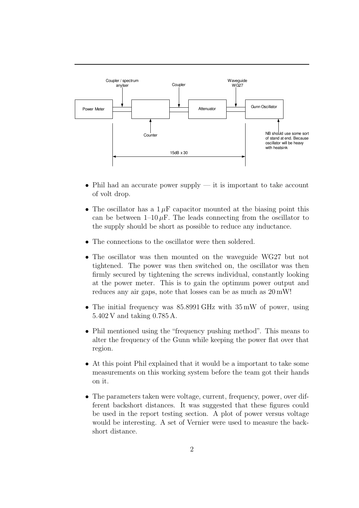

- Phil had an accurate power supply  $-$  it is important to take account of volt drop.
- The oscillator has a  $1 \mu$ F capacitor mounted at the biasing point this can be between  $1-10 \mu F$ . The leads connecting from the oscillator to the supply should be short as possible to reduce any inductance.
- The connections to the oscillator were then soldered.
- The oscillator was then mounted on the waveguide WG27 but not tightened. The power was then switched on, the oscillator was then firmly secured by tightening the screws individual, constantly looking at the power meter. This is to gain the optimum power output and reduces any air gaps, note that losses can be as much as 20 mW!
- The initial frequency was 85.8991 GHz with 35 mW of power, using 5.402 V and taking 0.785 A.
- Phil mentioned using the "frequency pushing method". This means to alter the frequency of the Gunn while keeping the power flat over that region.
- At this point Phil explained that it would be a important to take some measurements on this working system before the team got their hands on it.
- The parameters taken were voltage, current, frequency, power, over different backshort distances. It was suggested that these figures could be used in the report testing section. A plot of power versus voltage would be interesting. A set of Vernier were used to measure the backshort distance.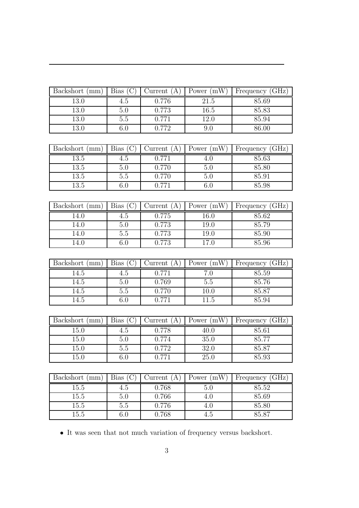| Backshort (mm) | Bias | Jurrent | Power $(mW)$ | Frequency (GHz) |
|----------------|------|---------|--------------|-----------------|
| 13.0           | 4.5  | 0.776   | 21.5         | 85.69           |
| 13.0           | 5.0  | 0.773   | 16.5         | 85.83           |
| 13.0           | 5.5  | 0.771   | 12.0         | 85.94           |
| $13.0\,$       | 6.0  | 0.772   | 9.0          | 86.00           |

| Backshort (mm) | Bias ( | Current<br>(A | Power $(mW)$ | Frequency (GHz) |
|----------------|--------|---------------|--------------|-----------------|
| 13.5           | 4.5    | 0.771         |              | 85.63           |
| 13.5           | 5.0    | 0.770         | 5.0          | 85.80           |
| 13.5           | 5.5    | 0.770         | 5.U          | 85.91           |
| 13.5           | 0.U    | 0.771         | b.t          | 85.98           |

| Backshort (mm) | Bias | Current<br>$\mathbf{A}$ | Power $(mW)$ | Frequency (GHz) |
|----------------|------|-------------------------|--------------|-----------------|
| 14.0           | 4.5  | 0.775                   | $16.0\,$     | 85.62           |
| 14.0           | 5.0  | 0.773                   | 19.0         | 85.79           |
| 14.0           | 5.5  | 0.773                   | $19.0\,$     | 85.90           |
| l4.0           | 6.0  | 0.773                   | 17.0         | 85.96           |

| Backshort (mm) | Bias(C) | Current $(A)$ | Power $(mW)$ | Frequency (GHz) |
|----------------|---------|---------------|--------------|-----------------|
| 14.5           | 4.5     | 0.771         |              | 85.59           |
| 14.5           | 5.0     | 0.769         | 5.5          | 85.76           |
| 14.5           | 5.5     | 0.770         | $10.0\,$     | 85.87           |
| 14.5           |         | በ 771         | 11.5         | 85.94           |

| Backshort (mm) | Bias | Current | Power $(mW)$ | Frequency (GHz) |
|----------------|------|---------|--------------|-----------------|
| 15.0           | 4.5  | 0.778   | 40.0         | 85.61           |
| 15.0           | 5.0  | 0.774   | 35.0         | 85.77           |
| 15.0           | 5.5  | 0.772   | 32.0         | 85.87           |
| $15.0\,$       | 6.0  | 0.771   | 25.0         | 85.93           |

| Backshort (mm) | Bias | Jurrent<br>$\boldsymbol{A}$ | Power $(mW)$ | Frequency (GHz) |
|----------------|------|-----------------------------|--------------|-----------------|
| 15.5           | 4.5  | 0.768                       | 5.0          | 85.52           |
| 15.5           | 5.0  | 0.766                       | 4.0          | 85.69           |
| 15.5           | 5.5  | 0.776                       | 4.U          | 85.80           |
| 15.5           | 6.0  | 0.768                       | 4.5          | 85.87           |

 $\bullet\,$  It was seen that not much variation of frequency versus backshort.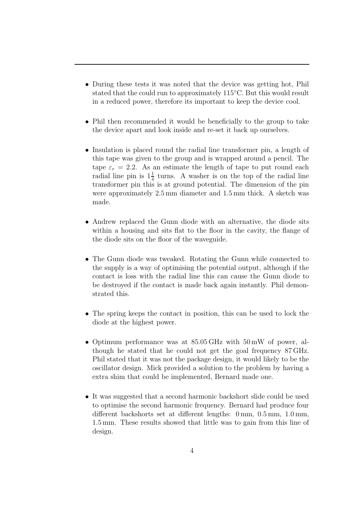- During these tests it was noted that the device was getting hot, Phil stated that the could run to approximately 115◦C. But this would result in a reduced power, therefore its important to keep the device cool.
- Phil then recommended it would be beneficially to the group to take the device apart and look inside and re-set it back up ourselves.
- Insulation is placed round the radial line transformer pin, a length of this tape was given to the group and is wrapped around a pencil. The tape  $\varepsilon_r = 2.2$ . As an estimate the length of tape to put round each radial line pin is  $1\frac{1}{4}$  $\frac{1}{4}$  turns. A washer is on the top of the radial line transformer pin this is at ground potential. The dimension of the pin were approximately 2.5 mm diameter and 1.5 mm thick. A sketch was made.
- Andrew replaced the Gunn diode with an alternative, the diode sits within a housing and sits flat to the floor in the cavity, the flange of the diode sits on the floor of the waveguide.
- The Gunn diode was tweaked. Rotating the Gunn while connected to the supply is a way of optimising the potential output, although if the contact is loss with the radial line this can cause the Gunn diode to be destroyed if the contact is made back again instantly. Phil demonstrated this.
- The spring keeps the contact in position, this can be used to lock the diode at the highest power.
- Optimum performance was at 85.05 GHz with 50 mW of power, although he stated that he could not get the goal frequency 87 GHz. Phil stated that it was not the package design, it would likely to be the oscillator design. Mick provided a solution to the problem by having a extra shim that could be implemented, Bernard made one.
- It was suggested that a second harmonic backshort slide could be used to optimise the second harmonic frequency. Bernard had produce four different backshorts set at different lengths: 0 mm, 0.5 mm, 1.0 mm, 1.5 mm. These results showed that little was to gain from this line of design.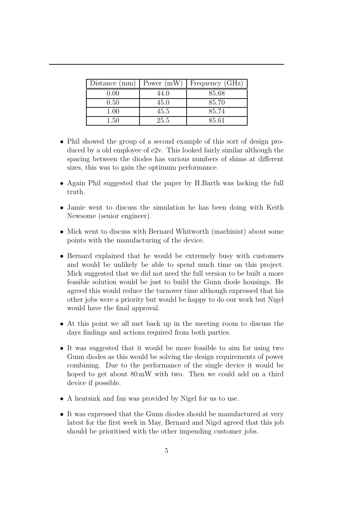| Distance (mm) | Power $(mW)$ | Frequency (GHz) |
|---------------|--------------|-----------------|
| 0.00          | 44.0         | 85.68           |
| 0.50          | 45.0         | 85.70           |
| $1.00\,$      | 45.5         | 85.74           |
| 1.50          | 25.5         | 85.61           |

- Phil showed the group of a second example of this sort of design produced by a old employee of e2v. This looked fairly similar although the spacing between the diodes has various numbers of shims at different sizes, this was to gain the optimum performance.
- Again Phil suggested that the paper by H.Barth was lacking the full truth.
- Jamie went to discuss the simulation he has been doing with Keith Newsome (senior engineer).
- Mick went to discuss with Bernard Whitworth (machinist) about some points with the manufacturing of the device.
- Bernard explained that he would be extremely busy with customers and would be unlikely be able to spend much time on this project. Mick suggested that we did not need the full version to be built a more feasible solution would be just to build the Gunn diode housings. He agreed this would reduce the turnover time although expressed that his other jobs were a priority but would be happy to do our work but Nigel would have the final approval.
- At this point we all met back up in the meeting room to discuss the days findings and actions required from both parties.
- It was suggested that it would be more feasible to aim for using two Gunn diodes as this would be solving the design requirements of power combining. Due to the performance of the single device it would be hoped to get about  $80 \text{ mW}$  with two. Then we could add on a third device if possible.
- A heatsink and fan was provided by Nigel for us to use.
- It was expressed that the Gunn diodes should be manufactured at very latest for the first week in May, Bernard and Nigel agreed that this job should be prioritised with the other impending customer jobs.